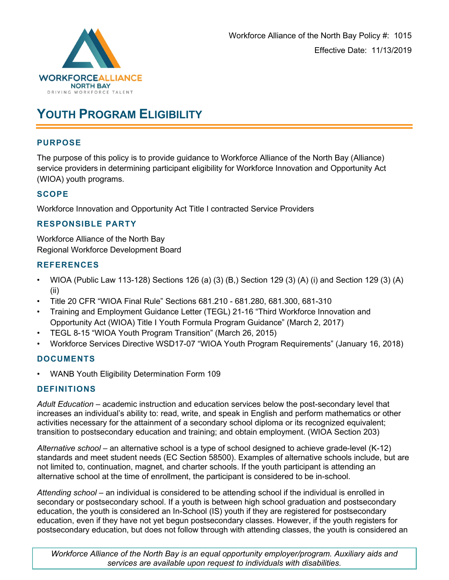

# **YOUTH PROGRAM ELIGIBILITY**

### **PURPOSE**

The purpose of this policy is to provide guidance to Workforce Alliance of the North Bay (Alliance) service providers in determining participant eligibility for Workforce Innovation and Opportunity Act (WIOA) youth programs.

## **SCOPE**

Workforce Innovation and Opportunity Act Title I contracted Service Providers

### **RESPONSIBLE PARTY**

Workforce Alliance of the North Bay Regional Workforce Development Board

### **REFERENCES**

- WIOA (Public Law 113-128) Sections 126 (a) (3) (B,) Section 129 (3) (A) (i) and Section 129 (3) (A) (ii)
- Title 20 CFR "WIOA Final Rule" Sections 681.210 681.280, 681.300, 681-310
- Training and Employment Guidance Letter (TEGL) 21-16 "Third Workforce Innovation and Opportunity Act (WIOA) Title I Youth Formula Program Guidance" (March 2, 2017)
- TEGL 8-15 "WIOA Youth Program Transition" (March 26, 2015)
- Workforce Services Directive WSD17-07 "WIOA Youth Program Requirements" (January 16, 2018)

## **DOCUMENTS**

• WANB Youth Eligibility Determination Form 109

## **DEFINITIONS**

*Adult Education* – academic instruction and education services below the post-secondary level that increases an individual's ability to: read, write, and speak in English and perform mathematics or other activities necessary for the attainment of a secondary school diploma or its recognized equivalent; transition to postsecondary education and training; and obtain employment. (WIOA Section 203)

*Alternative school* – an alternative school is a type of school designed to achieve grade-level (K-12) standards and meet student needs (EC Section 58500). Examples of alternative schools include, but are not limited to, continuation, magnet, and charter schools. If the youth participant is attending an alternative school at the time of enrollment, the participant is considered to be in-school.

*Attending school* – an individual is considered to be attending school if the individual is enrolled in secondary or postsecondary school. If a youth is between high school graduation and postsecondary education, the youth is considered an In-School (IS) youth if they are registered for postsecondary education, even if they have not yet begun postsecondary classes. However, if the youth registers for postsecondary education, but does not follow through with attending classes, the youth is considered an

*Workforce Alliance of the North Bay is an equal opportunity employer/program. Auxiliary aids and services are available upon request to individuals with disabilities.*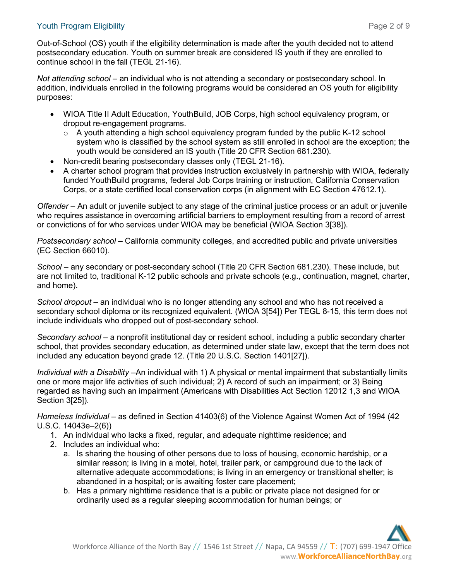### Youth Program Eligibility Page 2 of 9

Out-of-School (OS) youth if the eligibility determination is made after the youth decided not to attend postsecondary education. Youth on summer break are considered IS youth if they are enrolled to continue school in the fall (TEGL 21-16).

*Not attending school* – an individual who is not attending a secondary or postsecondary school. In addition, individuals enrolled in the following programs would be considered an OS youth for eligibility purposes:

- WIOA Title II Adult Education, YouthBuild, JOB Corps, high school equivalency program, or dropout re-engagement programs.
	- o A youth attending a high school equivalency program funded by the public K-12 school system who is classified by the school system as still enrolled in school are the exception; the youth would be considered an IS youth (Title 20 CFR Section 681.230).
- Non-credit bearing postsecondary classes only (TEGL 21-16).
- A charter school program that provides instruction exclusively in partnership with WIOA, federally funded YouthBuild programs, federal Job Corps training or instruction, California Conservation Corps, or a state certified local conservation corps (in alignment with EC Section 47612.1).

*Offender –* An adult or juvenile subject to any stage of the criminal justice process or an adult or juvenile who requires assistance in overcoming artificial barriers to employment resulting from a record of arrest or convictions of for who services under WIOA may be beneficial (WIOA Section 3[38]).

*Postsecondary school* – California community colleges, and accredited public and private universities (EC Section 66010).

*School –* any secondary or post-secondary school (Title 20 CFR Section 681.230). These include, but are not limited to, traditional K-12 public schools and private schools (e.g., continuation, magnet, charter, and home).

*School dropout* – an individual who is no longer attending any school and who has not received a secondary school diploma or its recognized equivalent. (WIOA 3[54]) Per TEGL 8-15, this term does not include individuals who dropped out of post-secondary school.

*Secondary school* – a nonprofit institutional day or resident school, including a public secondary charter school, that provides secondary education, as determined under state law, except that the term does not included any education beyond grade 12. (Title 20 U.S.C. Section 1401[27]).

*Individual with a Disability* –An individual with 1) A physical or mental impairment that substantially limits one or more major life activities of such individual; 2) A record of such an impairment; or 3) Being regarded as having such an impairment (Americans with Disabilities Act Section 12012 1,3 and WIOA Section 3[25]).

*Homeless Individual* – as defined in Section 41403(6) of the Violence Against Women Act of 1994 (42 U.S.C. 14043e–2(6))

- 1. An individual who lacks a fixed, regular, and adequate nighttime residence; and
- 2. Includes an individual who:
	- a. Is sharing the housing of other persons due to loss of housing, economic hardship, or a similar reason; is living in a motel, hotel, trailer park, or campground due to the lack of alternative adequate accommodations; is living in an emergency or transitional shelter; is abandoned in a hospital; or is awaiting foster care placement;
	- b. Has a primary nighttime residence that is a public or private place not designed for or ordinarily used as a regular sleeping accommodation for human beings; or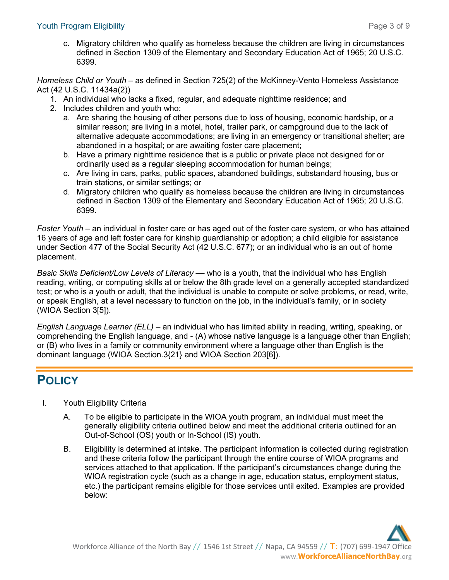c. Migratory children who qualify as homeless because the children are living in circumstances defined in Section 1309 of the Elementary and Secondary Education Act of 1965; 20 U.S.C. 6399.

*Homeless Child or Youth* – as defined in Section 725(2) of the McKinney-Vento Homeless Assistance Act (42 U.S.C. 11434a(2))

- 1. An individual who lacks a fixed, regular, and adequate nighttime residence; and
- 2. Includes children and youth who:
	- a. Are sharing the housing of other persons due to loss of housing, economic hardship, or a similar reason; are living in a motel, hotel, trailer park, or campground due to the lack of alternative adequate accommodations; are living in an emergency or transitional shelter; are abandoned in a hospital; or are awaiting foster care placement;
	- b. Have a primary nighttime residence that is a public or private place not designed for or ordinarily used as a regular sleeping accommodation for human beings;
	- c. Are living in cars, parks, public spaces, abandoned buildings, substandard housing, bus or train stations, or similar settings; or
	- d. Migratory children who qualify as homeless because the children are living in circumstances defined in Section 1309 of the Elementary and Secondary Education Act of 1965; 20 U.S.C. 6399.

*Foster Youth* – an individual in foster care or has aged out of the foster care system, or who has attained 16 years of age and left foster care for kinship guardianship or adoption; a child eligible for assistance under Section 477 of the Social Security Act (42 U.S.C. 677); or an individual who is an out of home placement.

*Basic Skills Deficient/Low Levels of Literacy* — who is a youth, that the individual who has English reading, writing, or computing skills at or below the 8th grade level on a generally accepted standardized test; or who is a youth or adult, that the individual is unable to compute or solve problems, or read, write, or speak English, at a level necessary to function on the job, in the individual's family, or in society (WIOA Section 3[5]).

*English Language Learner (ELL)* – an individual who has limited ability in reading, writing, speaking, or comprehending the English language, and - (A) whose native language is a language other than English; or (B) who lives in a family or community environment where a language other than English is the dominant language (WIOA Section.3{21} and WIOA Section 203[6]).

# **POLICY**

- I. Youth Eligibility Criteria
	- A. To be eligible to participate in the WIOA youth program, an individual must meet the generally eligibility criteria outlined below and meet the additional criteria outlined for an Out-of-School (OS) youth or In-School (IS) youth.
	- B. Eligibility is determined at intake. The participant information is collected during registration and these criteria follow the participant through the entire course of WIOA programs and services attached to that application. If the participant's circumstances change during the WIOA registration cycle (such as a change in age, education status, employment status, etc.) the participant remains eligible for those services until exited. Examples are provided below: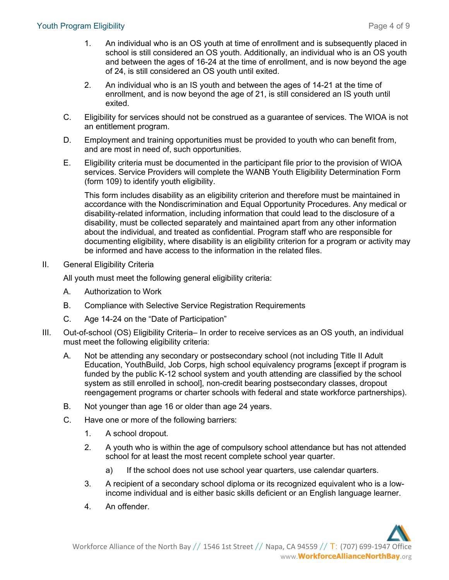- 1. An individual who is an OS youth at time of enrollment and is subsequently placed in school is still considered an OS youth. Additionally, an individual who is an OS youth and between the ages of 16-24 at the time of enrollment, and is now beyond the age of 24, is still considered an OS youth until exited.
- 2. An individual who is an IS youth and between the ages of 14-21 at the time of enrollment, and is now beyond the age of 21, is still considered an IS youth until exited.
- C. Eligibility for services should not be construed as a guarantee of services. The WIOA is not an entitlement program.
- D. Employment and training opportunities must be provided to youth who can benefit from, and are most in need of, such opportunities.
- E. Eligibility criteria must be documented in the participant file prior to the provision of WIOA services. Service Providers will complete the WANB Youth Eligibility Determination Form (form 109) to identify youth eligibility.

This form includes disability as an eligibility criterion and therefore must be maintained in accordance with the Nondiscrimination and Equal Opportunity Procedures. Any medical or disability-related information, including information that could lead to the disclosure of a disability, must be collected separately and maintained apart from any other information about the individual, and treated as confidential. Program staff who are responsible for documenting eligibility, where disability is an eligibility criterion for a program or activity may be informed and have access to the information in the related files.

### II. General Eligibility Criteria

All youth must meet the following general eligibility criteria:

- A. Authorization to Work
- B. Compliance with Selective Service Registration Requirements
- C. Age 14-24 on the "Date of Participation"
- III. Out-of-school (OS) Eligibility Criteria– In order to receive services as an OS youth, an individual must meet the following eligibility criteria:
	- A. Not be attending any secondary or postsecondary school (not including Title II Adult Education, YouthBuild, Job Corps, high school equivalency programs [except if program is funded by the public K-12 school system and youth attending are classified by the school system as still enrolled in school], non-credit bearing postsecondary classes, dropout reengagement programs or charter schools with federal and state workforce partnerships).
	- B. Not younger than age 16 or older than age 24 years.
	- C. Have one or more of the following barriers:
		- 1. A school dropout.
		- 2. A youth who is within the age of compulsory school attendance but has not attended school for at least the most recent complete school year quarter.
			- a) If the school does not use school year quarters, use calendar quarters.
		- 3. A recipient of a secondary school diploma or its recognized equivalent who is a lowincome individual and is either basic skills deficient or an English language learner.
		- 4. An offender.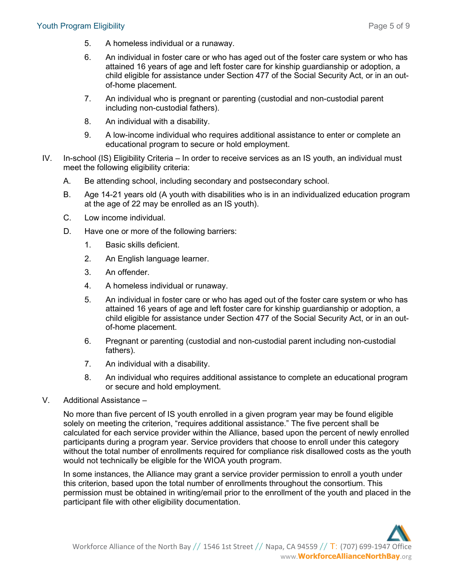- 5. A homeless individual or a runaway.
- 6. An individual in foster care or who has aged out of the foster care system or who has attained 16 years of age and left foster care for kinship guardianship or adoption, a child eligible for assistance under Section 477 of the Social Security Act, or in an outof-home placement.
- 7. An individual who is pregnant or parenting (custodial and non-custodial parent including non-custodial fathers).
- 8. An individual with a disability.
- 9. A low-income individual who requires additional assistance to enter or complete an educational program to secure or hold employment.
- IV. In-school (IS) Eligibility Criteria In order to receive services as an IS youth, an individual must meet the following eligibility criteria:
	- A. Be attending school, including secondary and postsecondary school.
	- B. Age 14-21 years old (A youth with disabilities who is in an individualized education program at the age of 22 may be enrolled as an IS youth).
	- C. Low income individual.
	- D. Have one or more of the following barriers:
		- 1. Basic skills deficient.
		- 2. An English language learner.
		- 3. An offender.
		- 4. A homeless individual or runaway.
		- 5. An individual in foster care or who has aged out of the foster care system or who has attained 16 years of age and left foster care for kinship guardianship or adoption, a child eligible for assistance under Section 477 of the Social Security Act, or in an outof-home placement.
		- 6. Pregnant or parenting (custodial and non-custodial parent including non-custodial fathers).
		- 7. An individual with a disability.
		- 8. An individual who requires additional assistance to complete an educational program or secure and hold employment.
- V. Additional Assistance –

No more than five percent of IS youth enrolled in a given program year may be found eligible solely on meeting the criterion, "requires additional assistance." The five percent shall be calculated for each service provider within the Alliance, based upon the percent of newly enrolled participants during a program year. Service providers that choose to enroll under this category without the total number of enrollments required for compliance risk disallowed costs as the youth would not technically be eligible for the WIOA youth program.

In some instances, the Alliance may grant a service provider permission to enroll a youth under this criterion, based upon the total number of enrollments throughout the consortium. This permission must be obtained in writing/email prior to the enrollment of the youth and placed in the participant file with other eligibility documentation.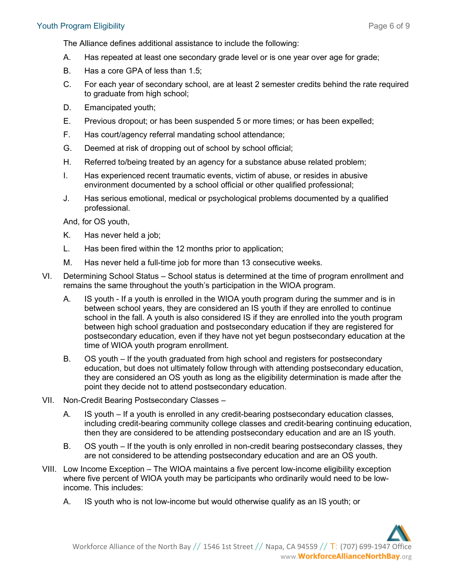The Alliance defines additional assistance to include the following:

- A. Has repeated at least one secondary grade level or is one year over age for grade;
- B. Has a core GPA of less than 1.5;
- C. For each year of secondary school, are at least 2 semester credits behind the rate required to graduate from high school;
- D. Emancipated youth;
- E. Previous dropout; or has been suspended 5 or more times; or has been expelled;
- F. Has court/agency referral mandating school attendance;
- G. Deemed at risk of dropping out of school by school official;
- H. Referred to/being treated by an agency for a substance abuse related problem;
- I. Has experienced recent traumatic events, victim of abuse, or resides in abusive environment documented by a school official or other qualified professional;
- J. Has serious emotional, medical or psychological problems documented by a qualified professional.

And, for OS youth,

- K. Has never held a job;
- L. Has been fired within the 12 months prior to application;
- M. Has never held a full-time job for more than 13 consecutive weeks.
- VI. Determining School Status School status is determined at the time of program enrollment and remains the same throughout the youth's participation in the WIOA program.
	- A. IS youth If a youth is enrolled in the WIOA youth program during the summer and is in between school years, they are considered an IS youth if they are enrolled to continue school in the fall. A youth is also considered IS if they are enrolled into the youth program between high school graduation and postsecondary education if they are registered for postsecondary education, even if they have not yet begun postsecondary education at the time of WIOA youth program enrollment.
	- B. OS youth If the youth graduated from high school and registers for postsecondary education, but does not ultimately follow through with attending postsecondary education, they are considered an OS youth as long as the eligibility determination is made after the point they decide not to attend postsecondary education.
- VII. Non-Credit Bearing Postsecondary Classes
	- A. IS youth If a youth is enrolled in any credit-bearing postsecondary education classes, including credit-bearing community college classes and credit-bearing continuing education, then they are considered to be attending postsecondary education and are an IS youth.
	- B. OS youth If the youth is only enrolled in non-credit bearing postsecondary classes, they are not considered to be attending postsecondary education and are an OS youth.
- VIII. Low Income Exception The WIOA maintains a five percent low-income eligibility exception where five percent of WIOA youth may be participants who ordinarily would need to be lowincome. This includes:
	- A. IS youth who is not low-income but would otherwise qualify as an IS youth; or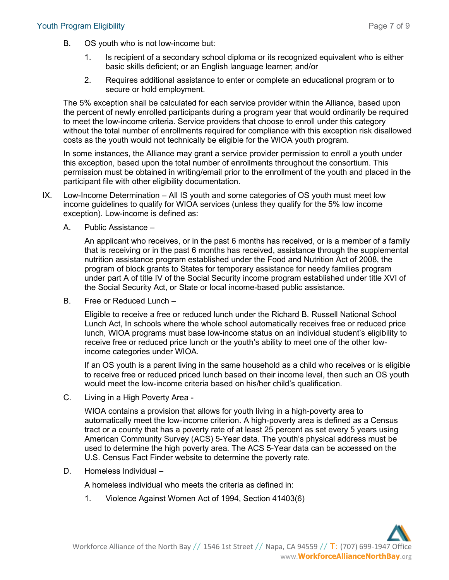- B. OS youth who is not low-income but:
	- 1. Is recipient of a secondary school diploma or its recognized equivalent who is either basic skills deficient; or an English language learner; and/or
	- 2. Requires additional assistance to enter or complete an educational program or to secure or hold employment.

The 5% exception shall be calculated for each service provider within the Alliance, based upon the percent of newly enrolled participants during a program year that would ordinarily be required to meet the low-income criteria. Service providers that choose to enroll under this category without the total number of enrollments required for compliance with this exception risk disallowed costs as the youth would not technically be eligible for the WIOA youth program.

In some instances, the Alliance may grant a service provider permission to enroll a youth under this exception, based upon the total number of enrollments throughout the consortium. This permission must be obtained in writing/email prior to the enrollment of the youth and placed in the participant file with other eligibility documentation.

- IX. Low-Income Determination All IS youth and some categories of OS youth must meet low income guidelines to qualify for WIOA services (unless they qualify for the 5% low income exception). Low-income is defined as:
	- A. Public Assistance –

An applicant who receives, or in the past 6 months has received, or is a member of a family that is receiving or in the past 6 months has received, assistance through the supplemental nutrition assistance program established under the Food and Nutrition Act of 2008, the program of block grants to States for temporary assistance for needy families program under part A of title IV of the Social Security income program established under title XVI of the Social Security Act, or State or local income-based public assistance.

B. Free or Reduced Lunch –

Eligible to receive a free or reduced lunch under the Richard B. Russell National School Lunch Act, In schools where the whole school automatically receives free or reduced price lunch, WIOA programs must base low-income status on an individual student's eligibility to receive free or reduced price lunch or the youth's ability to meet one of the other lowincome categories under WIOA.

If an OS youth is a parent living in the same household as a child who receives or is eligible to receive free or reduced priced lunch based on their income level, then such an OS youth would meet the low-income criteria based on his/her child's qualification.

C. Living in a High Poverty Area -

WIOA contains a provision that allows for youth living in a high-poverty area to automatically meet the low-income criterion. A high-poverty area is defined as a Census tract or a county that has a poverty rate of at least 25 percent as set every 5 years using American Community Survey (ACS) 5-Year data. The youth's physical address must be used to determine the high poverty area. The ACS 5-Year data can be accessed on the U.S. Census Fact Finder website to determine the poverty rate.

D. Homeless Individual –

A homeless individual who meets the criteria as defined in:

1. Violence Against Women Act of 1994, Section 41403(6)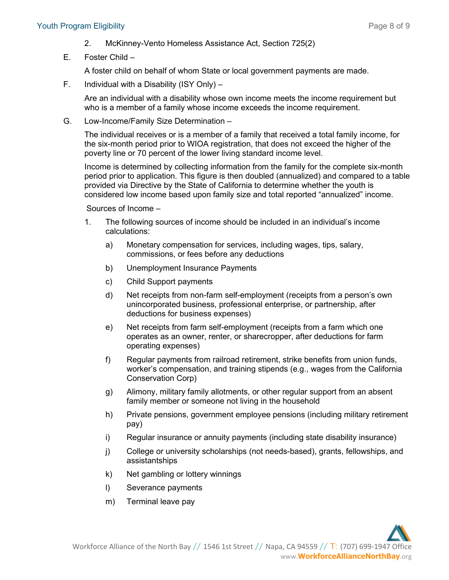#### Youth Program Eligibility Page 8 of 9

- 2. McKinney-Vento Homeless Assistance Act, Section 725(2)
- E. Foster Child –

A foster child on behalf of whom State or local government payments are made.

F. Individual with a Disability (ISY Only) –

Are an individual with a disability whose own income meets the income requirement but who is a member of a family whose income exceeds the income requirement.

G. Low-Income/Family Size Determination –

The individual receives or is a member of a family that received a total family income, for the six-month period prior to WIOA registration, that does not exceed the higher of the poverty line or 70 percent of the lower living standard income level.

Income is determined by collecting information from the family for the complete six-month period prior to application. This figure is then doubled (annualized) and compared to a table provided via Directive by the State of California to determine whether the youth is considered low income based upon family size and total reported "annualized" income.

Sources of Income –

- 1. The following sources of income should be included in an individual's income calculations:
	- a) Monetary compensation for services, including wages, tips, salary, commissions, or fees before any deductions
	- b) Unemployment Insurance Payments
	- c) Child Support payments
	- d) Net receipts from non-farm self-employment (receipts from a person's own unincorporated business, professional enterprise, or partnership, after deductions for business expenses)
	- e) Net receipts from farm self-employment (receipts from a farm which one operates as an owner, renter, or sharecropper, after deductions for farm operating expenses)
	- f) Regular payments from railroad retirement, strike benefits from union funds, worker's compensation, and training stipends (e.g., wages from the California Conservation Corp)
	- g) Alimony, military family allotments, or other regular support from an absent family member or someone not living in the household
	- h) Private pensions, government employee pensions (including military retirement pay)
	- i) Regular insurance or annuity payments (including state disability insurance)
	- j) College or university scholarships (not needs-based), grants, fellowships, and assistantships
	- k) Net gambling or lottery winnings
	- l) Severance payments
	- m) Terminal leave pay